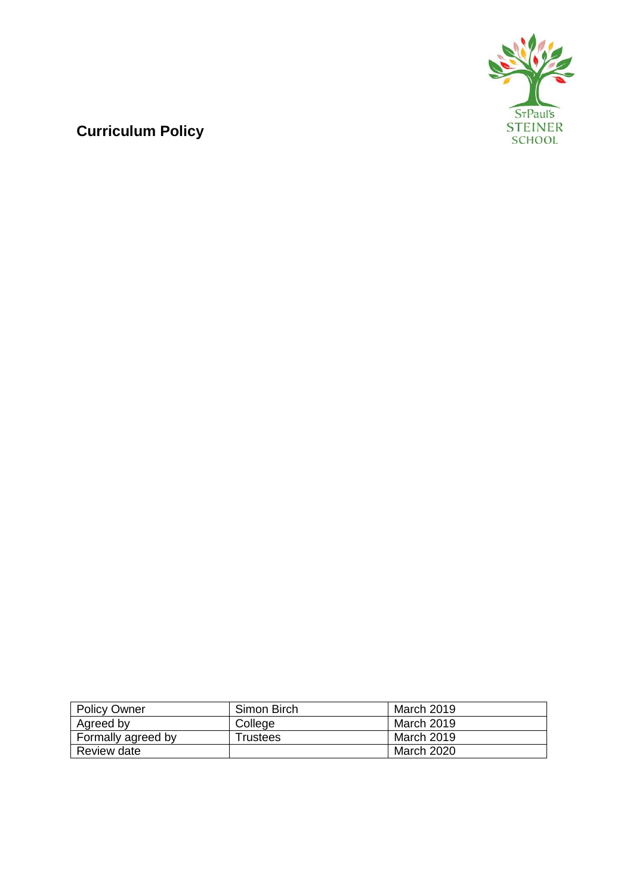

# **Curriculum Policy**

| <b>Policy Owner</b> | Simon Birch | March 2019 |
|---------------------|-------------|------------|
| Agreed by           | College     | March 2019 |
| Formally agreed by  | Trustees    | March 2019 |
| Review date         |             | March 2020 |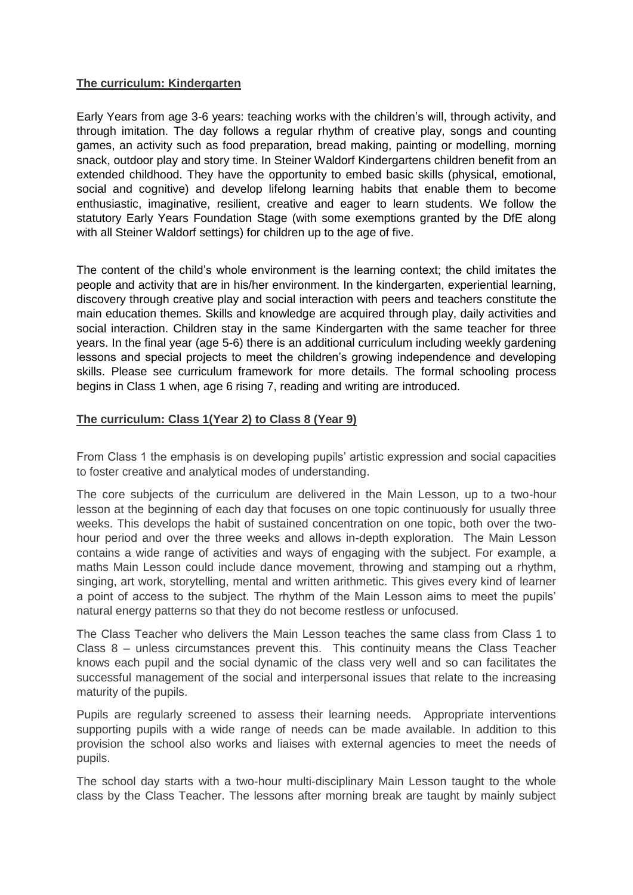# **The curriculum: Kindergarten**

Early Years from age 3-6 years: teaching works with the children's will, through activity, and through imitation. The day follows a regular rhythm of creative play, songs and counting games, an activity such as food preparation, bread making, painting or modelling, morning snack, outdoor play and story time. In Steiner Waldorf Kindergartens children benefit from an extended childhood. They have the opportunity to embed basic skills (physical, emotional, social and cognitive) and develop lifelong learning habits that enable them to become enthusiastic, imaginative, resilient, creative and eager to learn students. We follow the statutory Early Years Foundation Stage (with some exemptions granted by the DfE along with all Steiner Waldorf settings) for children up to the age of five.

The content of the child's whole environment is the learning context; the child imitates the people and activity that are in his/her environment. In the kindergarten, experiential learning, discovery through creative play and social interaction with peers and teachers constitute the main education themes. Skills and knowledge are acquired through play, daily activities and social interaction. Children stay in the same Kindergarten with the same teacher for three years. In the final year (age 5-6) there is an additional curriculum including weekly gardening lessons and special projects to meet the children's growing independence and developing skills. Please see curriculum framework for more details. The formal schooling process begins in Class 1 when, age 6 rising 7, reading and writing are introduced.

# **The curriculum: Class 1(Year 2) to Class 8 (Year 9)**

From Class 1 the emphasis is on developing pupils' artistic expression and social capacities to foster creative and analytical modes of understanding.

The core subjects of the curriculum are delivered in the Main Lesson, up to a two-hour lesson at the beginning of each day that focuses on one topic continuously for usually three weeks. This develops the habit of sustained concentration on one topic, both over the twohour period and over the three weeks and allows in-depth exploration. The Main Lesson contains a wide range of activities and ways of engaging with the subject. For example, a maths Main Lesson could include dance movement, throwing and stamping out a rhythm, singing, art work, storytelling, mental and written arithmetic. This gives every kind of learner a point of access to the subject. The rhythm of the Main Lesson aims to meet the pupils' natural energy patterns so that they do not become restless or unfocused.

The Class Teacher who delivers the Main Lesson teaches the same class from Class 1 to Class 8 – unless circumstances prevent this. This continuity means the Class Teacher knows each pupil and the social dynamic of the class very well and so can facilitates the successful management of the social and interpersonal issues that relate to the increasing maturity of the pupils.

Pupils are regularly screened to assess their learning needs. Appropriate interventions supporting pupils with a wide range of needs can be made available. In addition to this provision the school also works and liaises with external agencies to meet the needs of pupils.

The school day starts with a two-hour multi-disciplinary Main Lesson taught to the whole class by the Class Teacher. The lessons after morning break are taught by mainly subject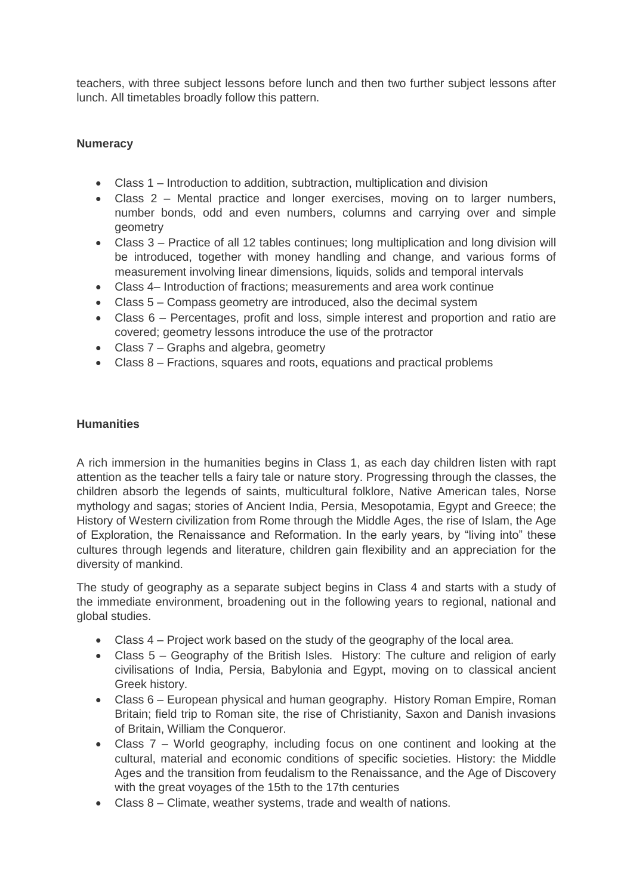teachers, with three subject lessons before lunch and then two further subject lessons after lunch. All timetables broadly follow this pattern.

# **Numeracy**

- Class 1 Introduction to addition, subtraction, multiplication and division
- Class 2 Mental practice and longer exercises, moving on to larger numbers, number bonds, odd and even numbers, columns and carrying over and simple geometry
- Class 3 Practice of all 12 tables continues; long multiplication and long division will be introduced, together with money handling and change, and various forms of measurement involving linear dimensions, liquids, solids and temporal intervals
- Class 4– Introduction of fractions; measurements and area work continue
- Class 5 Compass geometry are introduced, also the decimal system
- Class 6 Percentages, profit and loss, simple interest and proportion and ratio are covered; geometry lessons introduce the use of the protractor
- Class 7 Graphs and algebra, geometry
- Class 8 Fractions, squares and roots, equations and practical problems

## **Humanities**

A rich immersion in the humanities begins in Class 1, as each day children listen with rapt attention as the teacher tells a fairy tale or nature story. Progressing through the classes, the children absorb the legends of saints, multicultural folklore, Native American tales, Norse mythology and sagas; stories of Ancient India, Persia, Mesopotamia, Egypt and Greece; the History of Western civilization from Rome through the Middle Ages, the rise of Islam, the Age of Exploration, the Renaissance and Reformation. In the early years, by "living into" these cultures through legends and literature, children gain flexibility and an appreciation for the diversity of mankind.

The study of geography as a separate subject begins in Class 4 and starts with a study of the immediate environment, broadening out in the following years to regional, national and global studies.

- Class 4 Project work based on the study of the geography of the local area.
- Class 5 Geography of the British Isles. History: The culture and religion of early civilisations of India, Persia, Babylonia and Egypt, moving on to classical ancient Greek history.
- Class 6 European physical and human geography. History Roman Empire, Roman Britain; field trip to Roman site, the rise of Christianity, Saxon and Danish invasions of Britain, William the Conqueror.
- Class 7 World geography, including focus on one continent and looking at the cultural, material and economic conditions of specific societies. History: the Middle Ages and the transition from feudalism to the Renaissance, and the Age of Discovery with the great voyages of the 15th to the 17th centuries
- Class 8 Climate, weather systems, trade and wealth of nations.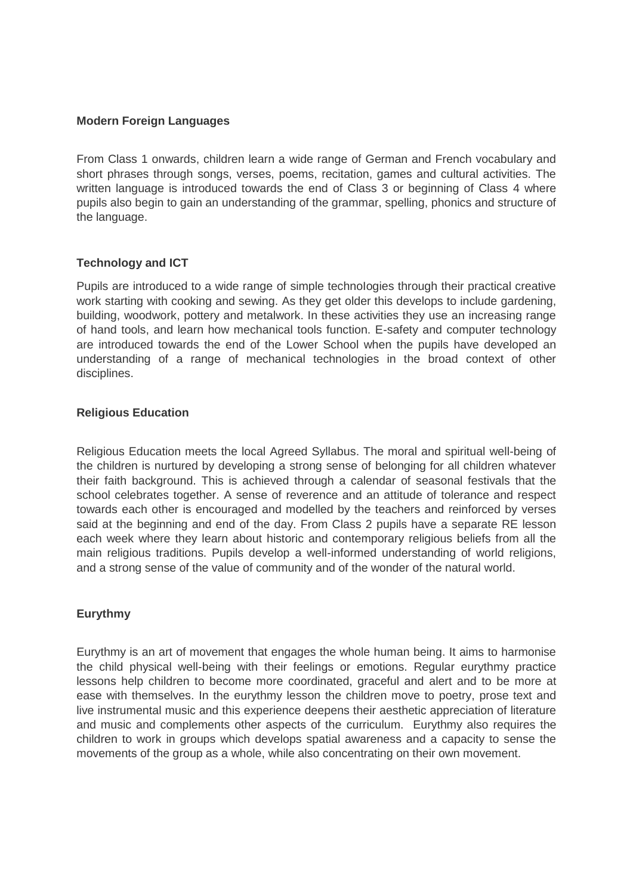#### **Modern Foreign Languages**

From Class 1 onwards, children learn a wide range of German and French vocabulary and short phrases through songs, verses, poems, recitation, games and cultural activities. The written language is introduced towards the end of Class 3 or beginning of Class 4 where pupils also begin to gain an understanding of the grammar, spelling, phonics and structure of the language.

## **Technology and ICT**

Pupils are introduced to a wide range of simple technologies through their practical creative work starting with cooking and sewing. As they get older this develops to include gardening, building, woodwork, pottery and metalwork. In these activities they use an increasing range of hand tools, and learn how mechanical tools function. E-safety and computer technology are introduced towards the end of the Lower School when the pupils have developed an understanding of a range of mechanical technologies in the broad context of other disciplines.

## **Religious Education**

Religious Education meets the local Agreed Syllabus. The moral and spiritual well-being of the children is nurtured by developing a strong sense of belonging for all children whatever their faith background. This is achieved through a calendar of seasonal festivals that the school celebrates together. A sense of reverence and an attitude of tolerance and respect towards each other is encouraged and modelled by the teachers and reinforced by verses said at the beginning and end of the day. From Class 2 pupils have a separate RE lesson each week where they learn about historic and contemporary religious beliefs from all the main religious traditions. Pupils develop a well-informed understanding of world religions, and a strong sense of the value of community and of the wonder of the natural world.

# **Eurythmy**

Eurythmy is an art of movement that engages the whole human being. It aims to harmonise the child physical well-being with their feelings or emotions. Regular eurythmy practice lessons help children to become more coordinated, graceful and alert and to be more at ease with themselves. In the eurythmy lesson the children move to poetry, prose text and live instrumental music and this experience deepens their aesthetic appreciation of literature and music and complements other aspects of the curriculum. Eurythmy also requires the children to work in groups which develops spatial awareness and a capacity to sense the movements of the group as a whole, while also concentrating on their own movement.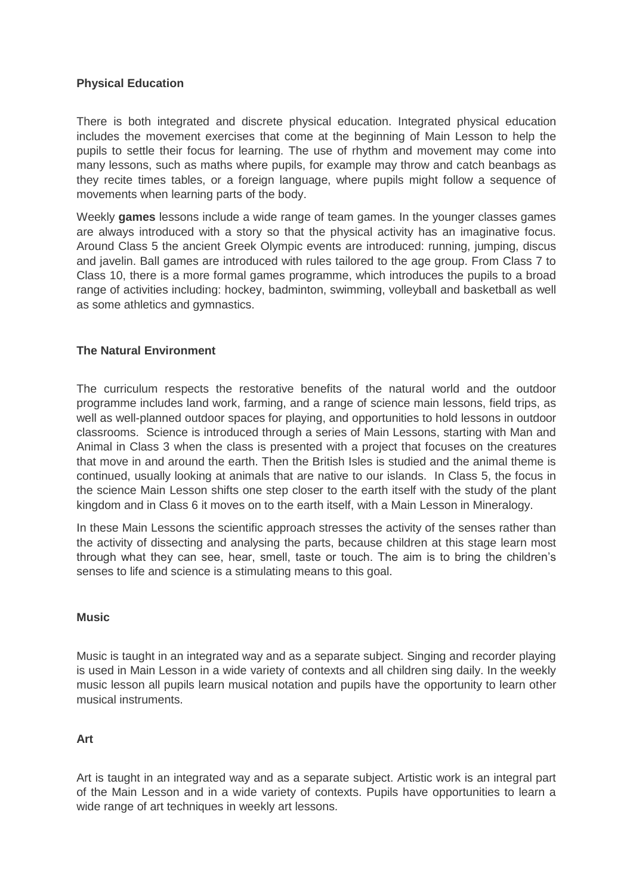## **Physical Education**

There is both integrated and discrete physical education. Integrated physical education includes the movement exercises that come at the beginning of Main Lesson to help the pupils to settle their focus for learning. The use of rhythm and movement may come into many lessons, such as maths where pupils, for example may throw and catch beanbags as they recite times tables, or a foreign language, where pupils might follow a sequence of movements when learning parts of the body.

Weekly **games** lessons include a wide range of team games. In the younger classes games are always introduced with a story so that the physical activity has an imaginative focus. Around Class 5 the ancient Greek Olympic events are introduced: running, jumping, discus and javelin. Ball games are introduced with rules tailored to the age group. From Class 7 to Class 10, there is a more formal games programme, which introduces the pupils to a broad range of activities including: hockey, badminton, swimming, volleyball and basketball as well as some athletics and gymnastics.

## **The Natural Environment**

The curriculum respects the restorative benefits of the natural world and the outdoor programme includes land work, farming, and a range of science main lessons, field trips, as well as well-planned outdoor spaces for playing, and opportunities to hold lessons in outdoor classrooms. Science is introduced through a series of Main Lessons, starting with Man and Animal in Class 3 when the class is presented with a project that focuses on the creatures that move in and around the earth. Then the British Isles is studied and the animal theme is continued, usually looking at animals that are native to our islands. In Class 5, the focus in the science Main Lesson shifts one step closer to the earth itself with the study of the plant kingdom and in Class 6 it moves on to the earth itself, with a Main Lesson in Mineralogy.

In these Main Lessons the scientific approach stresses the activity of the senses rather than the activity of dissecting and analysing the parts, because children at this stage learn most through what they can see, hear, smell, taste or touch. The aim is to bring the children's senses to life and science is a stimulating means to this goal.

## **Music**

Music is taught in an integrated way and as a separate subject. Singing and recorder playing is used in Main Lesson in a wide variety of contexts and all children sing daily. In the weekly music lesson all pupils learn musical notation and pupils have the opportunity to learn other musical instruments.

## **Art**

Art is taught in an integrated way and as a separate subject. Artistic work is an integral part of the Main Lesson and in a wide variety of contexts. Pupils have opportunities to learn a wide range of art techniques in weekly art lessons.